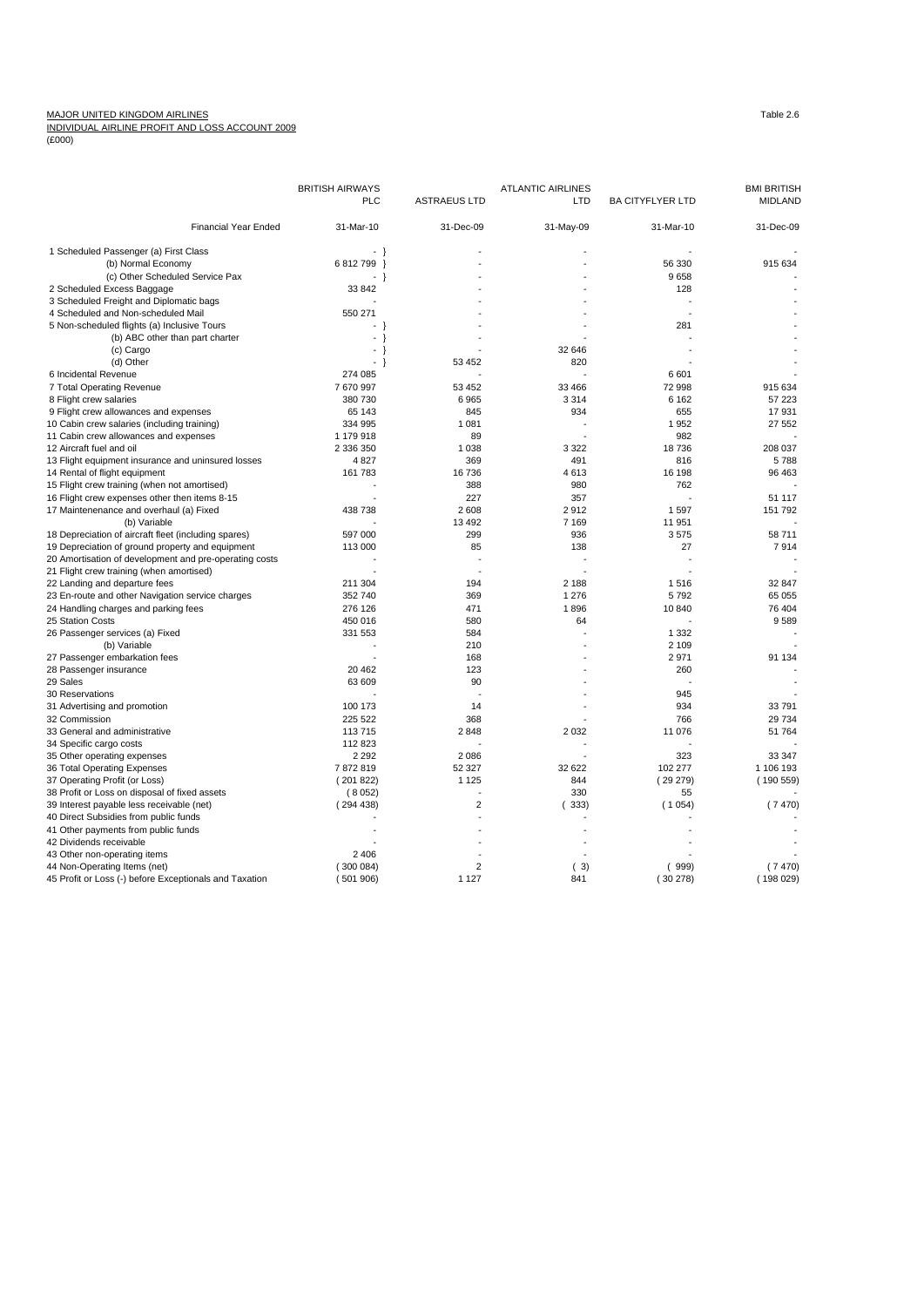## MAJOR UNITED KINGDOM AIRLINES<br><u>INDIVIDUAL AIRLINE PROFIT AND LOSS ACCOUNT 2009</u><br>(£000)

|                                                        | <b>BRITISH AIRWAYS</b>          |                     | <b>ATLANTIC AIRLINES</b> |                         | <b>BMI BRITISH</b> |
|--------------------------------------------------------|---------------------------------|---------------------|--------------------------|-------------------------|--------------------|
|                                                        | <b>PLC</b>                      | <b>ASTRAEUS LTD</b> | <b>LTD</b>               | <b>BA CITYFLYER LTD</b> | <b>MIDLAND</b>     |
| <b>Financial Year Ended</b>                            | 31-Mar-10                       | 31-Dec-09           | 31-May-09                | 31-Mar-10               | 31-Dec-09          |
| 1 Scheduled Passenger (a) First Class                  | $\rightarrow$ }                 |                     |                          |                         |                    |
| (b) Normal Economy                                     | 6812799<br>-1                   |                     |                          | 56 330                  | 915 634            |
| (c) Other Scheduled Service Pax                        | }                               |                     |                          | 9658                    |                    |
| 2 Scheduled Excess Baggage                             | 33 842                          |                     |                          | 128                     |                    |
| 3 Scheduled Freight and Diplomatic bags                |                                 |                     |                          |                         |                    |
| 4 Scheduled and Non-scheduled Mail                     | 550 271                         |                     |                          |                         |                    |
| 5 Non-scheduled flights (a) Inclusive Tours            |                                 |                     |                          | 281                     |                    |
| (b) ABC other than part charter                        | - }                             |                     |                          |                         |                    |
| (c) Cargo                                              | - }                             |                     | 32 646                   |                         |                    |
| (d) Other                                              | $\overline{\phantom{a}}$<br>- } | 53 452              | 820                      |                         |                    |
| 6 Incidental Revenue                                   | 274 085                         |                     |                          | 6601                    |                    |
| 7 Total Operating Revenue                              | 7670997                         | 53 452              | 33 466                   | 72 998                  | 915 634            |
| 8 Flight crew salaries                                 | 380 730                         | 6965                | 3 3 1 4                  | 6 1 6 2                 | 57 223             |
| 9 Flight crew allowances and expenses                  | 65 143                          | 845                 | 934                      | 655                     | 17931              |
| 10 Cabin crew salaries (including training)            | 334 995                         | 1 0 8 1             |                          | 1952                    | 27 552             |
| 11 Cabin crew allowances and expenses                  | 1 179 918                       | 89                  |                          | 982                     |                    |
| 12 Aircraft fuel and oil                               | 2 336 350                       | 1 0 38              | 3 3 2 2                  | 18736                   | 208 037            |
|                                                        |                                 |                     |                          |                         |                    |
| 13 Flight equipment insurance and uninsured losses     | 4827                            | 369                 | 491                      | 816                     | 5788               |
| 14 Rental of flight equipment                          | 161 783                         | 16736               | 4613                     | 16 198                  | 96 463             |
| 15 Flight crew training (when not amortised)           |                                 | 388                 | 980                      | 762                     |                    |
| 16 Flight crew expenses other then items 8-15          |                                 | 227                 | 357                      |                         | 51 117             |
| 17 Maintenenance and overhaul (a) Fixed                | 438 738                         | 2 6 0 8             | 2912                     | 1597                    | 151 792            |
| (b) Variable                                           |                                 | 13 4 9 2            | 7 1 6 9                  | 11 951                  |                    |
| 18 Depreciation of aircraft fleet (including spares)   | 597 000                         | 299                 | 936                      | 3575                    | 58 711             |
| 19 Depreciation of ground property and equipment       | 113 000                         | 85                  | 138                      | 27                      | 7914               |
| 20 Amortisation of development and pre-operating costs |                                 |                     |                          |                         |                    |
| 21 Flight crew training (when amortised)               |                                 |                     |                          |                         |                    |
| 22 Landing and departure fees                          | 211 304                         | 194                 | 2 188                    | 1516                    | 32 847             |
| 23 En-route and other Navigation service charges       | 352 740                         | 369                 | 1 2 7 6                  | 5792                    | 65 055             |
| 24 Handling charges and parking fees                   | 276 126                         | 471                 | 1896                     | 10 840                  | 76 404             |
| 25 Station Costs                                       | 450 016                         | 580                 | 64                       |                         | 9589               |
| 26 Passenger services (a) Fixed                        | 331 553                         | 584                 | ÷,                       | 1 3 3 2                 |                    |
| (b) Variable                                           |                                 | 210                 |                          | 2 1 0 9                 |                    |
| 27 Passenger embarkation fees                          |                                 | 168                 |                          | 2971                    | 91 134             |
| 28 Passenger insurance                                 | 20 462                          | 123                 |                          | 260                     |                    |
| 29 Sales                                               | 63 609                          | 90                  |                          |                         |                    |
| 30 Reservations                                        |                                 |                     |                          | 945                     |                    |
| 31 Advertising and promotion                           | 100 173                         | 14                  |                          | 934                     | 33791              |
| 32 Commission                                          | 225 522                         | 368                 |                          | 766                     | 29 734             |
| 33 General and administrative                          | 113715                          | 2848                | 2 0 3 2                  | 11 076                  | 51 764             |
| 34 Specific cargo costs                                | 112 823                         |                     |                          |                         |                    |
| 35 Other operating expenses                            | 2 2 9 2                         | 2086                |                          | 323                     | 33 347             |
| 36 Total Operating Expenses                            | 7872819                         | 52 327              | 32 622                   | 102 277                 | 1 106 193          |
| 37 Operating Profit (or Loss)                          | (201822)                        | 1 1 2 5             | 844                      | (29279)                 | (190559)           |
| 38 Profit or Loss on disposal of fixed assets          | (8052)                          |                     | 330                      | 55                      |                    |
| 39 Interest payable less receivable (net)              | (294438)                        | $\overline{2}$      | 333)                     | (1054)                  | (7470)             |
| 40 Direct Subsidies from public funds                  |                                 |                     |                          |                         |                    |
| 41 Other payments from public funds                    |                                 |                     |                          |                         |                    |
| 42 Dividends receivable                                |                                 |                     |                          |                         |                    |
| 43 Other non-operating items                           | 2 4 0 6                         |                     |                          |                         |                    |
| 44 Non-Operating Items (net)                           | (300084)                        | $\overline{2}$      | (3)                      | (999)                   | (7470)             |
| 45 Profit or Loss (-) before Exceptionals and Taxation | (501906)                        | 1 1 2 7             | 841                      | (30278)                 | (198029)           |
|                                                        |                                 |                     |                          |                         |                    |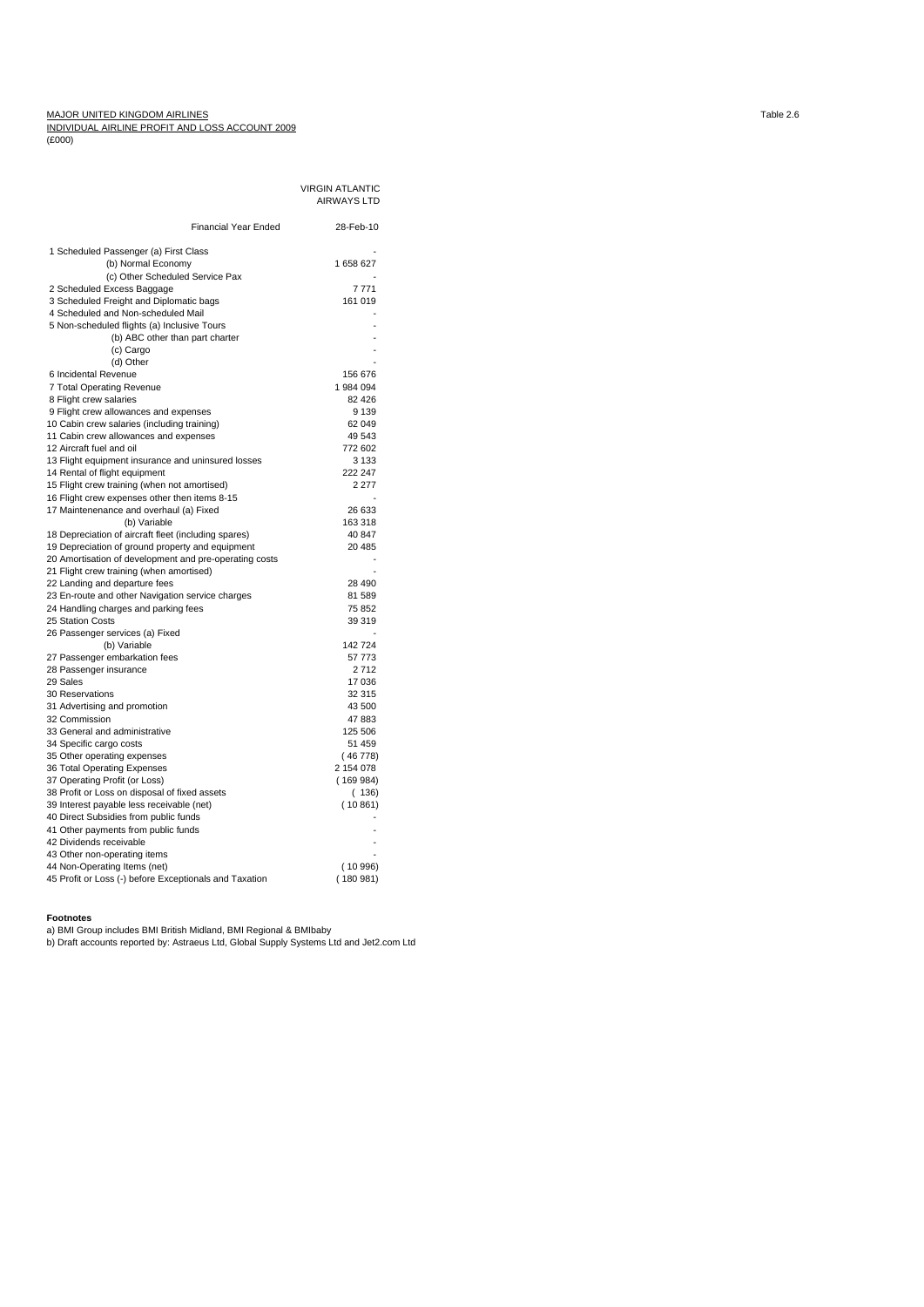MAJOR UNITED KINGDOM AIRLINES<br><u>INDIVIDUAL AIRLINE PROFIT AND LOSS ACCOUNT 2009</u><br>(£000)

|                                                        | <b>VIRGIN ATLANTIC</b> |  |
|--------------------------------------------------------|------------------------|--|
|                                                        | <b>AIRWAYS LTD</b>     |  |
|                                                        |                        |  |
| <b>Financial Year Ended</b>                            | 28-Feb-10              |  |
|                                                        |                        |  |
| 1 Scheduled Passenger (a) First Class                  |                        |  |
| (b) Normal Economy                                     | 1658627                |  |
| (c) Other Scheduled Service Pax                        |                        |  |
| 2 Scheduled Excess Baggage                             | 7771                   |  |
| 3 Scheduled Freight and Diplomatic bags                | 161 019                |  |
| 4 Scheduled and Non-scheduled Mail                     |                        |  |
| 5 Non-scheduled flights (a) Inclusive Tours            |                        |  |
| (b) ABC other than part charter                        |                        |  |
| (c) Cargo                                              |                        |  |
| (d) Other                                              |                        |  |
| 6 Incidental Revenue                                   | 156 676                |  |
| 7 Total Operating Revenue                              | 1984 094               |  |
| 8 Flight crew salaries                                 | 82 4 26                |  |
| 9 Flight crew allowances and expenses                  | 9 1 3 9                |  |
| 10 Cabin crew salaries (including training)            | 62 049                 |  |
| 11 Cabin crew allowances and expenses                  | 49 543                 |  |
| 12 Aircraft fuel and oil                               | 772 602                |  |
| 13 Flight equipment insurance and uninsured losses     | 3 1 3 3                |  |
| 14 Rental of flight equipment                          | 222 247                |  |
| 15 Flight crew training (when not amortised)           | 2 2 7 7                |  |
| 16 Flight crew expenses other then items 8-15          |                        |  |
| 17 Maintenenance and overhaul (a) Fixed                | 26 633                 |  |
| (b) Variable                                           | 163 318                |  |
| 18 Depreciation of aircraft fleet (including spares)   | 40 847                 |  |
| 19 Depreciation of ground property and equipment       | 20 485                 |  |
| 20 Amortisation of development and pre-operating costs |                        |  |
| 21 Flight crew training (when amortised)               |                        |  |
| 22 Landing and departure fees                          | 28 490                 |  |
| 23 En-route and other Navigation service charges       | 81 589                 |  |
| 24 Handling charges and parking fees                   | 75 852                 |  |
| 25 Station Costs                                       | 39 319                 |  |
| 26 Passenger services (a) Fixed                        |                        |  |
| (b) Variable                                           | 142 724                |  |
| 27 Passenger embarkation fees                          | 57 773                 |  |
| 28 Passenger insurance                                 | 2712                   |  |
| 29 Sales<br>30 Reservations                            | 17 036<br>32 315       |  |
| 31 Advertising and promotion                           | 43 500                 |  |
| 32 Commission                                          | 47883                  |  |
| 33 General and administrative                          | 125 506                |  |
| 34 Specific cargo costs                                | 51 459                 |  |
| 35 Other operating expenses                            | (46 778)               |  |
| 36 Total Operating Expenses                            | 2 154 078              |  |
| 37 Operating Profit (or Loss)                          | (169984)               |  |
| 38 Profit or Loss on disposal of fixed assets          | (136)                  |  |
| 39 Interest payable less receivable (net)              | (10861)                |  |
| 40 Direct Subsidies from public funds                  |                        |  |
| 41 Other payments from public funds                    |                        |  |
| 42 Dividends receivable                                |                        |  |
| 43 Other non-operating items                           |                        |  |
| 44 Non-Operating Items (net)                           | (10996)                |  |
| 45 Profit or Loss (-) before Exceptionals and Taxation | (180981)               |  |
|                                                        |                        |  |

**Footnotes**<br>a) BMI Group includes BMI British Midland, BMI Regional & BMIbaby<br>b) Draft accounts reported by: Astraeus Ltd, Global Supply Systems Ltd and Jet2.com Ltd